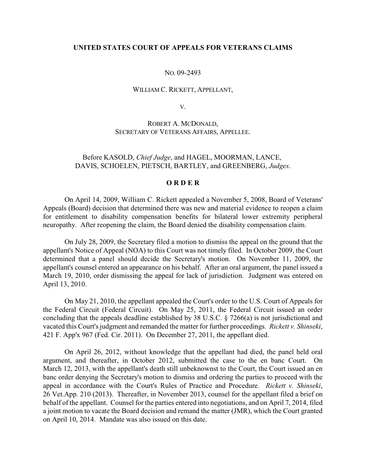## **UNITED STATES COURT OF APPEALS FOR VETERANS CLAIMS**

## NO. 09-2493

### WILLIAM C. RICKETT, APPELLANT,

V.

# ROBERT A. MCDONALD, SECRETARY OF VETERANS AFFAIRS, APPELLEE.

# Before KASOLD, *Chief Judge*, and HAGEL, MOORMAN, LANCE, DAVIS, SCHOELEN, PIETSCH, BARTLEY, and GREENBERG, *Judges*.

### **O R D E R**

On April 14, 2009, William C. Rickett appealed a November 5, 2008, Board of Veterans' Appeals (Board) decision that determined there was new and material evidence to reopen a claim for entitlement to disability compensation benefits for bilateral lower extremity peripheral neuropathy. After reopening the claim, the Board denied the disability compensation claim.

On July 28, 2009, the Secretary filed a motion to dismiss the appeal on the ground that the appellant's Notice of Appeal (NOA) to this Court was not timely filed. In October 2009, the Court determined that a panel should decide the Secretary's motion. On November 11, 2009, the appellant's counsel entered an appearance on his behalf. After an oral argument, the panel issued a March 19, 2010, order dismissing the appeal for lack of jurisdiction. Judgment was entered on April 13, 2010.

On May 21, 2010, the appellant appealed the Court's order to the U.S. Court of Appeals for the Federal Circuit (Federal Circuit). On May 25, 2011, the Federal Circuit issued an order concluding that the appeals deadline established by 38 U.S.C. § 7266(a) is not jurisdictional and vacated this Court's judgment and remanded the matter for further proceedings. *Rickett v. Shinseki*, 421 F. App'x 967 (Fed. Cir. 2011). On December 27, 2011, the appellant died.

On April 26, 2012, without knowledge that the appellant had died, the panel held oral argument, and thereafter, in October 2012, submitted the case to the en banc Court. On March 12, 2013, with the appellant's death still unbeknownst to the Court, the Court issued an en banc order denying the Secretary's motion to dismiss and ordering the parties to proceed with the appeal in accordance with the Court's Rules of Practice and Procedure. *Rickett v. Shinseki*, 26 Vet.App. 210 (2013). Thereafter, in November 2013, counsel for the appellant filed a brief on behalf of the appellant. Counsel for the parties entered into negotiations, and on April 7, 2014, filed a joint motion to vacate the Board decision and remand the matter (JMR), which the Court granted on April 10, 2014. Mandate was also issued on this date.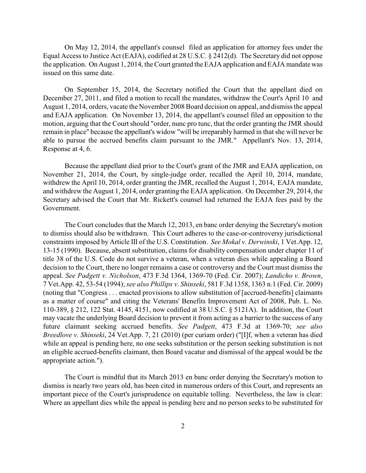On May 12, 2014, the appellant's counsel filed an application for attorney fees under the Equal Access to Justice Act (EAJA), codified at 28 U.S.C. § 2412(d). The Secretary did not oppose the application. On August 1, 2014, the Court granted the EAJA application and EAJA mandate was issued on this same date.

On September 15, 2014, the Secretary notified the Court that the appellant died on December 27, 2011, and filed a motion to recall the mandates, withdraw the Court's April 10 and August 1, 2014, orders, vacate the November 2008 Board decision on appeal, and dismissthe appeal and EAJA application. On November 13, 2014, the appellant's counsel filed an opposition to the motion, arguing that the Court should "order, nunc pro tunc, that the order granting the JMR should remain in place" because the appellant's widow "will be irreparably harmed in that she will never be able to pursue the accrued benefits claim pursuant to the JMR." Appellant's Nov. 13, 2014, Response at 4, 6.

Because the appellant died prior to the Court's grant of the JMR and EAJA application, on November 21, 2014, the Court, by single-judge order, recalled the April 10, 2014, mandate, withdrew the April 10, 2014, order granting the JMR, recalled the August 1, 2014, EAJA mandate, and withdrew the August 1, 2014, order granting the EAJA application. On December 29, 2014, the Secretary advised the Court that Mr. Rickett's counsel had returned the EAJA fees paid by the Government.

The Court concludes that the March 12, 2013, en banc order denying the Secretary's motion to dismiss should also be withdrawn. This Court adheres to the case-or-controversy jurisdictional constraints imposed by Article III of the U.S. Constitution. *See Mokal v. Derwinski*, 1 Vet.App. 12, 13-15 (1990). Because, absent substitution, claims for disability compensation under chapter 11 of title 38 of the U.S. Code do not survive a veteran, when a veteran dies while appealing a Board decision to the Court, there no longer remains a case or controversy and the Court must dismiss the appeal. *See Padgett v. Nicholson*, 473 F.3d 1364, 1369-70 (Fed. Cir. 2007); *Landicho v. Brown*, 7 Vet.App. 42, 53-54 (1994); *see also Phillips v. Shinseki*, 581 F.3d 1358, 1363 n.1 (Fed. Cir. 2009) (noting that "Congress . . . enacted provisions to allow substitution of [accrued-benefits] claimants as a matter of course" and citing the Veterans' Benefits Improvement Act of 2008, Pub. L. No. 110-389, § 212, 122 Stat. 4145, 4151, now codified at 38 U.S.C. § 5121A). In addition, the Court may vacate the underlying Board decision to prevent it from acting as a barrier to the success of any future claimant seeking accrued benefits. *See Padgett*, 473 F.3d at 1369-70; *see also Breedlove v. Shinseki*, 24 Vet.App. 7, 21 (2010) (per curiam order) ("[I]f, when a veteran has died while an appeal is pending here, no one seeks substitution or the person seeking substitution is not an eligible accrued-benefits claimant, then Board vacatur and dismissal of the appeal would be the appropriate action.").

The Court is mindful that its March 2013 en banc order denying the Secretary's motion to dismiss is nearly two years old, has been cited in numerous orders of this Court, and represents an important piece of the Court's jurisprudence on equitable tolling. Nevertheless, the law is clear: Where an appellant dies while the appeal is pending here and no person seeks to be substituted for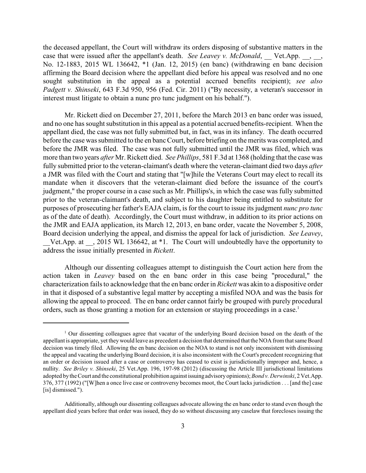the deceased appellant, the Court will withdraw its orders disposing of substantive matters in the case that were issued after the appellant's death. *See Leavey v. McDonald*, Vet.App. , , No. 12-1883, 2015 WL 136642, \*1 (Jan. 12, 2015) (en banc) (withdrawing en banc decision affirming the Board decision where the appellant died before his appeal was resolved and no one sought substitution in the appeal as a potential accrued benefits recipient); *see also Padgett v. Shinseki*, 643 F.3d 950, 956 (Fed. Cir. 2011) ("By necessity, a veteran's successor in interest must litigate to obtain a nunc pro tunc judgment on his behalf.").

Mr. Rickett died on December 27, 2011, before the March 2013 en banc order was issued, and no one has sought substitution in this appeal as a potential accrued benefits-recipient. When the appellant died, the case was not fully submitted but, in fact, was in its infancy. The death occurred before the case was submitted to the en banc Court, before briefing on the merits was completed, and before the JMR was filed. The case was not fully submitted until the JMR was filed, which was more than two years *after* Mr. Rickett died. *See Phillips*, 581 F.3d at 1368 (holding that the case was fully submitted prior to the veteran-claimant's death where the veteran-claimant died two days *after* a JMR was filed with the Court and stating that "[w]hile the Veterans Court may elect to recall its mandate when it discovers that the veteran-claimant died before the issuance of the court's judgment," the proper course in a case such as Mr. Phillips's, in which the case was fully submitted prior to the veteran-claimant's death, and subject to his daughter being entitled to substitute for purposes of prosecuting her father's EAJA claim, is for the court to issue its judgment *nunc pro tunc* as of the date of death). Accordingly, the Court must withdraw, in addition to its prior actions on the JMR and EAJA application, its March 12, 2013, en banc order, vacate the November 5, 2008, Board decision underlying the appeal, and dismiss the appeal for lack of jurisdiction. *See Leavey*, \_\_Vet.App. at \_\_, 2015 WL 136642, at \*1. The Court will undoubtedly have the opportunity to address the issue initially presented in *Rickett*.

Although our dissenting colleagues attempt to distinguish the Court action here from the action taken in *Leavey* based on the en banc order in this case being "procedural," the characterization fails to acknowledge that the en banc orderin *Rickett* was akin to a dispositive order in that it disposed of a substantive legal matter by accepting a misfiled NOA and was the basis for allowing the appeal to proceed. The en banc order cannot fairly be grouped with purely procedural orders, such as those granting a motion for an extension or staying proceedings in a case.<sup>1</sup>

<sup>&</sup>lt;sup>1</sup> Our dissenting colleagues agree that vacatur of the underlying Board decision based on the death of the appellant is appropriate, yet they would leave as precedent a decision that determined that the NOA fromthat same Board decision was timely filed. Allowing the en banc decision on the NOA to stand is not only inconsistent with dismissing the appeal and vacating the underlying Board decision, it is also inconsistent with the Court's precedent recognizing that an order or decision issued after a case or controversy has ceased to exist is jurisdictionally improper and, hence, a nullity. *See Briley v. Shinseki*, 25 Vet.App. 196, 197-98 (2012) (discussing the Article III jurisdictional limitations adopted by the Court and the constitutional prohibition against issuing advisory opinions); *Bond v. Derwinski*, 2 Vet.App. 376, 377 (1992) ("[W]hen a once live case or controversy becomes moot, the Court lacks jurisdiction . . . [and the] case [is] dismissed.").

Additionally, although our dissenting colleagues advocate allowing the en banc order to stand even though the appellant died years before that order was issued, they do so without discussing any caselaw that forecloses issuing the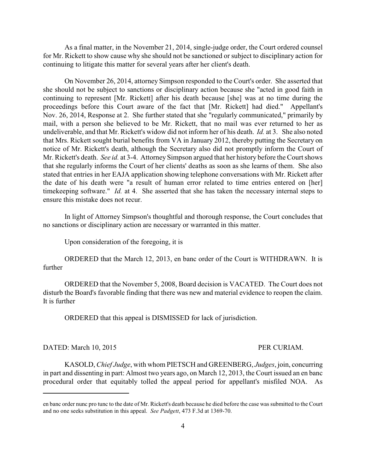As a final matter, in the November 21, 2014, single-judge order, the Court ordered counsel for Mr. Rickett to show cause why she should not be sanctioned or subject to disciplinary action for continuing to litigate this matter for several years after her client's death.

On November 26, 2014, attorney Simpson responded to the Court's order. She asserted that she should not be subject to sanctions or disciplinary action because she "acted in good faith in continuing to represent [Mr. Rickett] after his death because [she] was at no time during the proceedings before this Court aware of the fact that [Mr. Rickett] had died." Appellant's Nov. 26, 2014, Response at 2. She further stated that she "regularly communicated," primarily by mail, with a person she believed to be Mr. Rickett, that no mail was ever returned to her as undeliverable, and that Mr. Rickett's widow did not inform her of his death. *Id.* at 3. She also noted that Mrs. Rickett sought burial benefits from VA in January 2012, thereby putting the Secretary on notice of Mr. Rickett's death, although the Secretary also did not promptly inform the Court of Mr. Rickett's death. *See id.* at 3-4. Attorney Simpson argued that her history before the Court shows that she regularly informs the Court of her clients' deaths as soon as she learns of them. She also stated that entries in her EAJA application showing telephone conversations with Mr. Rickett after the date of his death were "a result of human error related to time entries entered on [her] timekeeping software." *Id.* at 4. She asserted that she has taken the necessary internal steps to ensure this mistake does not recur.

In light of Attorney Simpson's thoughtful and thorough response, the Court concludes that no sanctions or disciplinary action are necessary or warranted in this matter.

Upon consideration of the foregoing, it is

ORDERED that the March 12, 2013, en banc order of the Court is WITHDRAWN. It is further

ORDERED that the November 5, 2008, Board decision is VACATED. The Court does not disturb the Board's favorable finding that there was new and material evidence to reopen the claim. It is further

ORDERED that this appeal is DISMISSED for lack of jurisdiction.

## DATED: March 10, 2015 PER CURIAM.

KASOLD, *Chief Judge*, with whom PIETSCH and GREENBERG, *Judges*, join, concurring in part and dissenting in part: Almost two years ago, on March 12, 2013, the Court issued an en banc procedural order that equitably tolled the appeal period for appellant's misfiled NOA. As

en banc order nunc pro tunc to the date of Mr. Rickett's death because he died before the case was submitted to the Court and no one seeks substitution in this appeal. *See Padgett*, 473 F.3d at 1369-70.